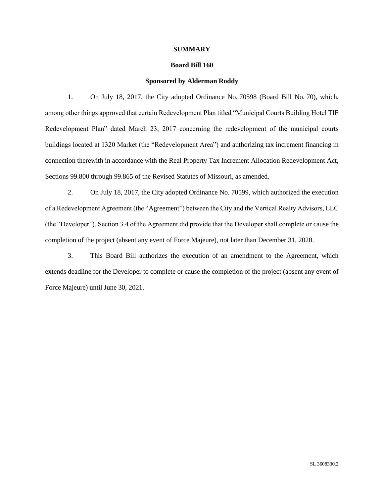#### **SUMMARY**

#### **Board Bill 160**

#### **Sponsored by Alderman Roddy**

1. On July 18, 2017, the City adopted Ordinance No. 70598 (Board Bill No. 70), which, among other things approved that certain Redevelopment Plan titled "Municipal Courts Building Hotel TIF Redevelopment Plan" dated March 23, 2017 concerning the redevelopment of the municipal courts buildings located at 1320 Market (the "Redevelopment Area") and authorizing tax increment financing in connection therewith in accordance with the Real Property Tax Increment Allocation Redevelopment Act, Sections 99.800 through 99.865 of the Revised Statutes of Missouri, as amended.

2. On July 18, 2017, the City adopted Ordinance No. 70599, which authorized the execution of a Redevelopment Agreement (the "Agreement") between the City and the Vertical Realty Advisors, LLC (the "Developer"). Section 3.4 of the Agreement did provide that the Developer shall complete or cause the completion of the project (absent any event of Force Majeure), not later than December 31, 2020.

3. This Board Bill authorizes the execution of an amendment to the Agreement, which extends deadline for the Developer to complete or cause the completion of the project (absent any event of Force Majeure) until June 30, 2021.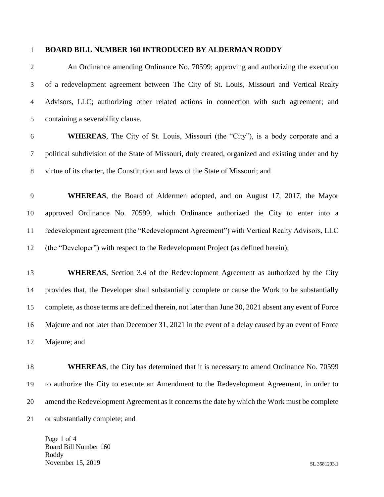#### **BOARD BILL NUMBER 160 INTRODUCED BY ALDERMAN RODDY**

 An Ordinance amending Ordinance No. 70599; approving and authorizing the execution of a redevelopment agreement between The City of St. Louis, Missouri and Vertical Realty Advisors, LLC; authorizing other related actions in connection with such agreement; and containing a severability clause.

- **WHEREAS**, The City of St. Louis, Missouri (the "City"), is a body corporate and a political subdivision of the State of Missouri, duly created, organized and existing under and by virtue of its charter, the Constitution and laws of the State of Missouri; and
- **WHEREAS**, the Board of Aldermen adopted, and on August 17, 2017, the Mayor approved Ordinance No. 70599, which Ordinance authorized the City to enter into a redevelopment agreement (the "Redevelopment Agreement") with Vertical Realty Advisors, LLC (the "Developer") with respect to the Redevelopment Project (as defined herein);
- **WHEREAS**, Section 3.4 of the Redevelopment Agreement as authorized by the City provides that, the Developer shall substantially complete or cause the Work to be substantially complete, as those terms are defined therein, not later than June 30, 2021 absent any event of Force Majeure and not later than December 31, 2021 in the event of a delay caused by an event of Force Majeure; and
- **WHEREAS**, the City has determined that it is necessary to amend Ordinance No. 70599 to authorize the City to execute an Amendment to the Redevelopment Agreement, in order to amend the Redevelopment Agreement as it concerns the date by which the Work must be complete or substantially complete; and

Page 1 of 4 Board Bill Number 160 Roddy November 15, 2019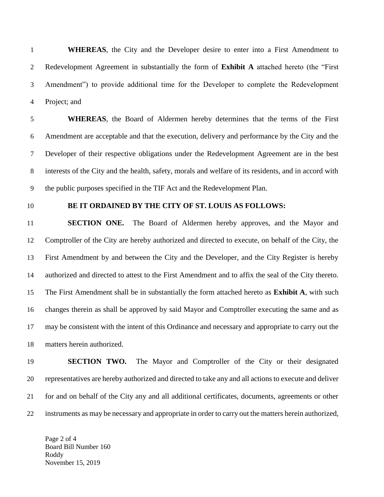**WHEREAS**, the City and the Developer desire to enter into a First Amendment to Redevelopment Agreement in substantially the form of **Exhibit A** attached hereto (the "First Amendment") to provide additional time for the Developer to complete the Redevelopment Project; and

 **WHEREAS**, the Board of Aldermen hereby determines that the terms of the First Amendment are acceptable and that the execution, delivery and performance by the City and the Developer of their respective obligations under the Redevelopment Agreement are in the best interests of the City and the health, safety, morals and welfare of its residents, and in accord with the public purposes specified in the TIF Act and the Redevelopment Plan.

#### **BE IT ORDAINED BY THE CITY OF ST. LOUIS AS FOLLOWS:**

 **SECTION ONE.** The Board of Aldermen hereby approves, and the Mayor and Comptroller of the City are hereby authorized and directed to execute, on behalf of the City, the First Amendment by and between the City and the Developer, and the City Register is hereby authorized and directed to attest to the First Amendment and to affix the seal of the City thereto. The First Amendment shall be in substantially the form attached hereto as **Exhibit A**, with such changes therein as shall be approved by said Mayor and Comptroller executing the same and as may be consistent with the intent of this Ordinance and necessary and appropriate to carry out the matters herein authorized.

 **SECTION TWO.** The Mayor and Comptroller of the City or their designated representatives are hereby authorized and directed to take any and all actions to execute and deliver for and on behalf of the City any and all additional certificates, documents, agreements or other instruments as may be necessary and appropriate in order to carry out the matters herein authorized,

Page 2 of 4 Board Bill Number 160 Roddy November 15, 2019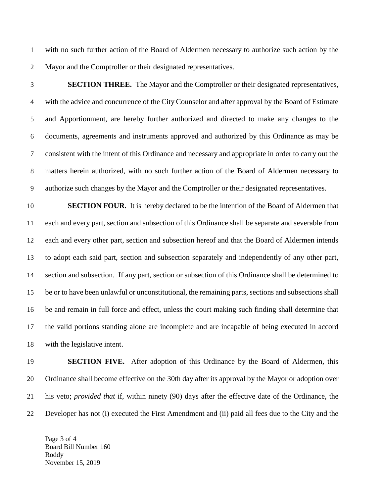with no such further action of the Board of Aldermen necessary to authorize such action by the Mayor and the Comptroller or their designated representatives.

 **SECTION THREE.** The Mayor and the Comptroller or their designated representatives, with the advice and concurrence of the City Counselor and after approval by the Board of Estimate and Apportionment, are hereby further authorized and directed to make any changes to the documents, agreements and instruments approved and authorized by this Ordinance as may be consistent with the intent of this Ordinance and necessary and appropriate in order to carry out the matters herein authorized, with no such further action of the Board of Aldermen necessary to authorize such changes by the Mayor and the Comptroller or their designated representatives.

 **SECTION FOUR.** It is hereby declared to be the intention of the Board of Aldermen that each and every part, section and subsection of this Ordinance shall be separate and severable from each and every other part, section and subsection hereof and that the Board of Aldermen intends to adopt each said part, section and subsection separately and independently of any other part, section and subsection. If any part, section or subsection of this Ordinance shall be determined to be or to have been unlawful or unconstitutional, the remaining parts, sections and subsections shall be and remain in full force and effect, unless the court making such finding shall determine that the valid portions standing alone are incomplete and are incapable of being executed in accord with the legislative intent.

 **SECTION FIVE.** After adoption of this Ordinance by the Board of Aldermen, this Ordinance shall become effective on the 30th day after its approval by the Mayor or adoption over his veto; *provided that* if, within ninety (90) days after the effective date of the Ordinance, the Developer has not (i) executed the First Amendment and (ii) paid all fees due to the City and the

Page 3 of 4 Board Bill Number 160 Roddy November 15, 2019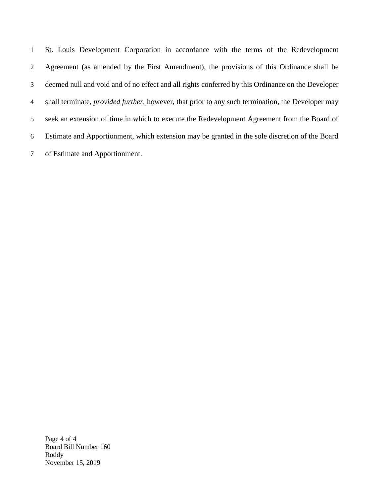St. Louis Development Corporation in accordance with the terms of the Redevelopment Agreement (as amended by the First Amendment), the provisions of this Ordinance shall be deemed null and void and of no effect and all rights conferred by this Ordinance on the Developer shall terminate, *provided further,* however, that prior to any such termination, the Developer may seek an extension of time in which to execute the Redevelopment Agreement from the Board of Estimate and Apportionment, which extension may be granted in the sole discretion of the Board of Estimate and Apportionment.

Page 4 of 4 Board Bill Number 160 Roddy November 15, 2019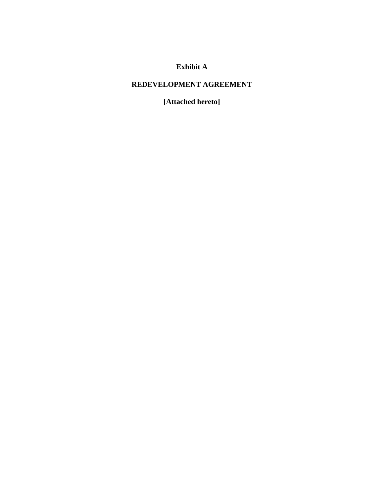# **Exhibit A**

## **REDEVELOPMENT AGREEMENT**

**[Attached hereto]**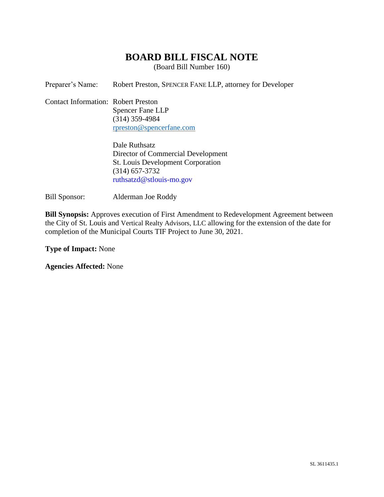# **BOARD BILL FISCAL NOTE**

(Board Bill Number 160)

Preparer's Name: Robert Preston, SPENCER FANE LLP, attorney for Developer

Contact Information: Robert Preston Spencer Fane LLP (314) 359-4984 [rpreston@spencerfane.com](mailto:rpreston@spencerfane.com)

> Dale Ruthsatz Director of Commercial Development St. Louis Development Corporation (314) 657-3732 ruthsatzd@stlouis-mo.gov

Bill Sponsor: Alderman Joe Roddy

**Bill Synopsis:** Approves execution of First Amendment to Redevelopment Agreement between the City of St. Louis and Vertical Realty Advisors, LLC allowing for the extension of the date for completion of the Municipal Courts TIF Project to June 30, 2021.

**Type of Impact:** None

**Agencies Affected:** None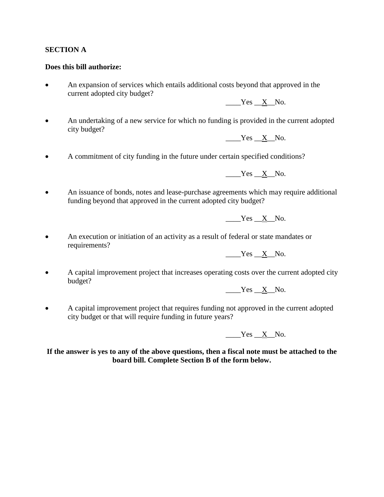### **SECTION A**

#### **Does this bill authorize:**

• An expansion of services which entails additional costs beyond that approved in the current adopted city budget?

Yes X No.

• An undertaking of a new service for which no funding is provided in the current adopted city budget?

 $Yes$   $X$  No.

• A commitment of city funding in the future under certain specified conditions?

Yes X No.

• An issuance of bonds, notes and lease-purchase agreements which may require additional funding beyond that approved in the current adopted city budget?

Yes X No.

• An execution or initiation of an activity as a result of federal or state mandates or requirements?

 $Yes$   $X$  No.

• A capital improvement project that increases operating costs over the current adopted city budget?

Yes X No.

• A capital improvement project that requires funding not approved in the current adopted city budget or that will require funding in future years?

 $Yes$   $X$ <sub>No.</sub>

**If the answer is yes to any of the above questions, then a fiscal note must be attached to the board bill. Complete Section B of the form below.**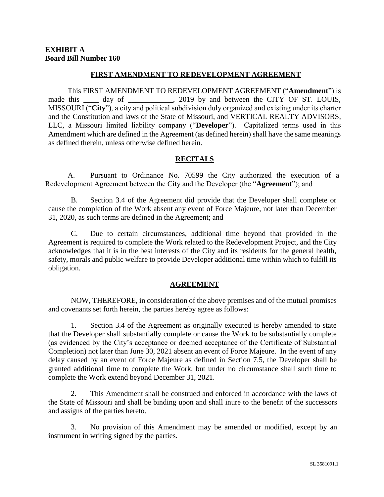### **FIRST AMENDMENT TO REDEVELOPMENT AGREEMENT**

This FIRST AMENDMENT TO REDEVELOPMENT AGREEMENT ("**Amendment**") is made this \_\_\_\_ day of \_\_\_\_\_\_\_\_\_, 2019 by and between the CITY OF ST. LOUIS, MISSOURI ("**City**"), a city and political subdivision duly organized and existing under its charter and the Constitution and laws of the State of Missouri, and VERTICAL REALTY ADVISORS, LLC, a Missouri limited liability company ("**Developer**"). Capitalized terms used in this Amendment which are defined in the Agreement (as defined herein) shall have the same meanings as defined therein, unless otherwise defined herein.

### **RECITALS**

A. Pursuant to Ordinance No. 70599 the City authorized the execution of a Redevelopment Agreement between the City and the Developer (the "**Agreement**"); and

B. Section 3.4 of the Agreement did provide that the Developer shall complete or cause the completion of the Work absent any event of Force Majeure, not later than December 31, 2020, as such terms are defined in the Agreement; and

C. Due to certain circumstances, additional time beyond that provided in the Agreement is required to complete the Work related to the Redevelopment Project, and the City acknowledges that it is in the best interests of the City and its residents for the general health, safety, morals and public welfare to provide Developer additional time within which to fulfill its obligation.

## **AGREEMENT**

NOW, THEREFORE, in consideration of the above premises and of the mutual promises and covenants set forth herein, the parties hereby agree as follows:

1. Section 3.4 of the Agreement as originally executed is hereby amended to state that the Developer shall substantially complete or cause the Work to be substantially complete (as evidenced by the City's acceptance or deemed acceptance of the Certificate of Substantial Completion) not later than June 30, 2021 absent an event of Force Majeure. In the event of any delay caused by an event of Force Majeure as defined in Section 7.5, the Developer shall be granted additional time to complete the Work, but under no circumstance shall such time to complete the Work extend beyond December 31, 2021.

2. This Amendment shall be construed and enforced in accordance with the laws of the State of Missouri and shall be binding upon and shall inure to the benefit of the successors and assigns of the parties hereto.

3. No provision of this Amendment may be amended or modified, except by an instrument in writing signed by the parties.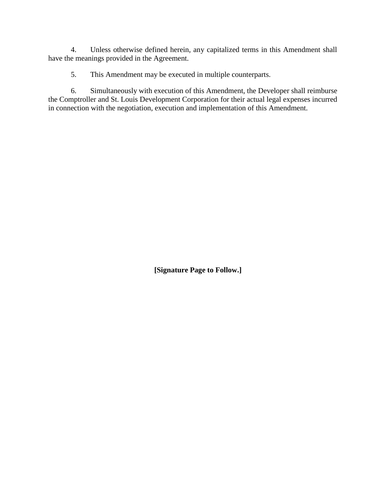4. Unless otherwise defined herein, any capitalized terms in this Amendment shall have the meanings provided in the Agreement.

5. This Amendment may be executed in multiple counterparts.

6. Simultaneously with execution of this Amendment, the Developer shall reimburse the Comptroller and St. Louis Development Corporation for their actual legal expenses incurred in connection with the negotiation, execution and implementation of this Amendment.

**[Signature Page to Follow.]**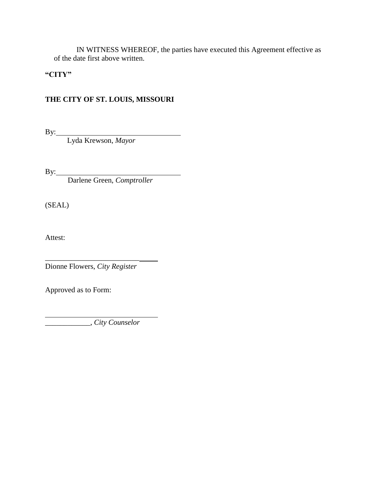IN WITNESS WHEREOF, the parties have executed this Agreement effective as of the date first above written.

## **"CITY"**

## **THE CITY OF ST. LOUIS, MISSOURI**

 $By:$ 

Lyda Krewson, *Mayor*

 $By:$ 

Darlene Green, *Comptroller*

(SEAL)

Attest:

\_\_\_\_\_\_\_\_\_\_\_\_\_\_\_\_\_\_\_\_\_\_\_\_\_ Dionne Flowers, *City Register*

Approved as to Form:

\_\_\_\_\_\_\_\_\_\_\_\_, *City Counselor*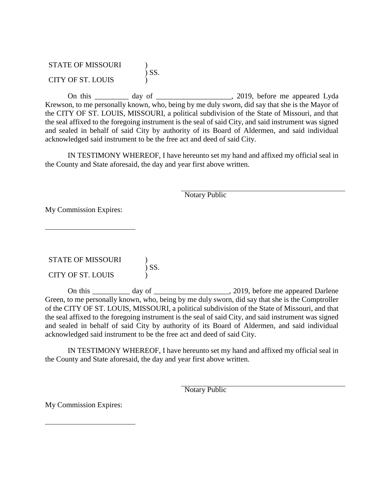STATE OF MISSOURI ) ) SS. CITY OF ST. LOUIS )

On this \_\_\_\_\_\_\_\_\_ day of \_\_\_\_\_\_\_\_\_\_\_\_\_\_\_\_\_\_\_\_, 2019, before me appeared Lyda Krewson, to me personally known, who, being by me duly sworn, did say that she is the Mayor of the CITY OF ST. LOUIS, MISSOURI, a political subdivision of the State of Missouri, and that the seal affixed to the foregoing instrument is the seal of said City, and said instrument was signed and sealed in behalf of said City by authority of its Board of Aldermen, and said individual acknowledged said instrument to be the free act and deed of said City.

IN TESTIMONY WHEREOF, I have hereunto set my hand and affixed my official seal in the County and State aforesaid, the day and year first above written.

Notary Public

My Commission Expires:

STATE OF MISSOURI )  $\acute{\text{S}}$ SS. CITY OF ST. LOUIS )

On this \_\_\_\_\_\_\_\_\_ day of \_\_\_\_\_\_\_\_\_\_\_\_\_\_\_\_\_\_\_\_\_, 2019, before me appeared Darlene Green, to me personally known, who, being by me duly sworn, did say that she is the Comptroller of the CITY OF ST. LOUIS, MISSOURI, a political subdivision of the State of Missouri, and that the seal affixed to the foregoing instrument is the seal of said City, and said instrument was signed and sealed in behalf of said City by authority of its Board of Aldermen, and said individual acknowledged said instrument to be the free act and deed of said City.

IN TESTIMONY WHEREOF, I have hereunto set my hand and affixed my official seal in the County and State aforesaid, the day and year first above written.

Notary Public

My Commission Expires: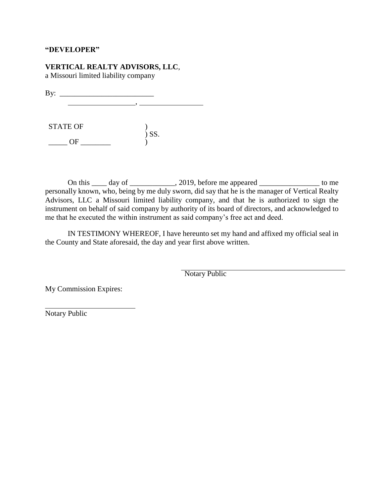#### **"DEVELOPER"**

## **VERTICAL REALTY ADVISORS, LLC**,

a Missouri limited liability company

By: \_\_\_\_\_\_\_\_\_\_\_\_\_\_\_\_\_\_\_\_\_\_\_\_\_ ,

STATE OF )  $\big)$  SS.  $\frac{1}{\sqrt{1-\frac{1}{2}}}\text{OF}$ 

On this  $\frac{1}{\sqrt{2}}$  day of  $\frac{1}{\sqrt{2}}$ , 2019, before me appeared  $\frac{1}{\sqrt{2}}$  to me personally known, who, being by me duly sworn, did say that he is the manager of Vertical Realty Advisors, LLC a Missouri limited liability company, and that he is authorized to sign the instrument on behalf of said company by authority of its board of directors, and acknowledged to me that he executed the within instrument as said company's free act and deed.

IN TESTIMONY WHEREOF, I have hereunto set my hand and affixed my official seal in the County and State aforesaid, the day and year first above written.

Notary Public

My Commission Expires:

Notary Public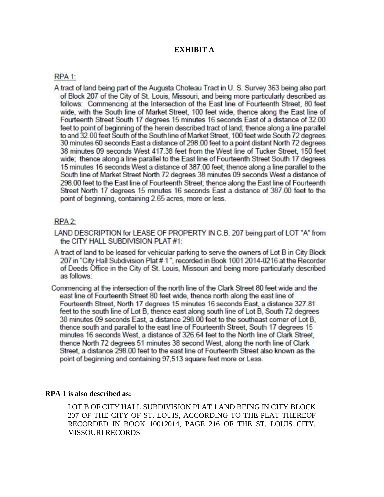### **EXHIBIT A**

#### RPA<sub>1:</sub>

A tract of land being part of the Augusta Choteau Tract in U. S. Survey 363 being also part of Block 207 of the City of St. Louis, Missouri, and being more particularly described as follows: Commencing at the Intersection of the East line of Fourteenth Street, 80 feet wide, with the South line of Market Street, 100 feet wide, thence along the East line of Fourteenth Street South 17 degrees 15 minutes 16 seconds East of a distance of 32.00 feet to point of beginning of the herein described tract of land; thence along a line parallel to and 32.00 feet South of the South line of Market Street, 100 feet wide South 72 degrees 30 minutes 60 seconds East a distance of 298.00 feet to a point distant North 72 degrees 38 minutes 09 seconds West 417.38 feet from the West line of Tucker Street, 150 feet wide; thence along a line parallel to the East line of Fourteenth Street South 17 degrees 15 minutes 16 seconds West a distance of 387.00 feet: thence along a line parallel to the South line of Market Street North 72 degrees 38 minutes 09 seconds West a distance of 298.00 feet to the East line of Fourteenth Street; thence along the East line of Fourteenth Street North 17 degrees 15 minutes 16 seconds East a distance of 387.00 feet to the point of beginning, containing 2.65 acres, more or less.

### RPA<sub>2:</sub>

- LAND DESCRIPTION for LEASE OF PROPERTY IN C.B. 207 being part of LOT "A" from the CITY HALL SUBDIVISION PLAT #1:
- A tract of land to be leased for vehicular parking to serve the owners of Lot B in City Block 207 in "City Hall Subdivision Plat #1", recorded in Book 1001 2014-0216 at the Recorder of Deeds Office in the City of St. Louis, Missouri and being more particularly described as follows:
- Commencing at the intersection of the north line of the Clark Street 80 feet wide and the east line of Fourteenth Street 80 feet wide, thence north along the east line of Fourteenth Street, North 17 degrees 15 minutes 16 seconds East, a distance 327.81 feet to the south line of Lot B, thence east along south line of Lot B, South 72 degrees 38 minutes 09 seconds East, a distance 298.00 feet to the southeast comer of Lot B, thence south and parallel to the east line of Fourteenth Street, South 17 degrees 15 minutes 16 seconds West, a distance of 326.64 feet to the North line of Clark Street, thence North 72 degrees 51 minutes 38 second West, along the north line of Clark Street, a distance 298.00 feet to the east line of Fourteenth Street also known as the point of beginning and containing 97,513 square feet more or Less.

#### **RPA 1 is also described as:**

LOT B OF CITY HALL SUBDIVISION PLAT 1 AND BEING IN CITY BLOCK 207 OF THE CITY OF ST. LOUIS, ACCORDING TO THE PLAT THEREOF RECORDED IN BOOK 10012014, PAGE 216 OF THE ST. LOUIS CITY, MISSOURI RECORDS